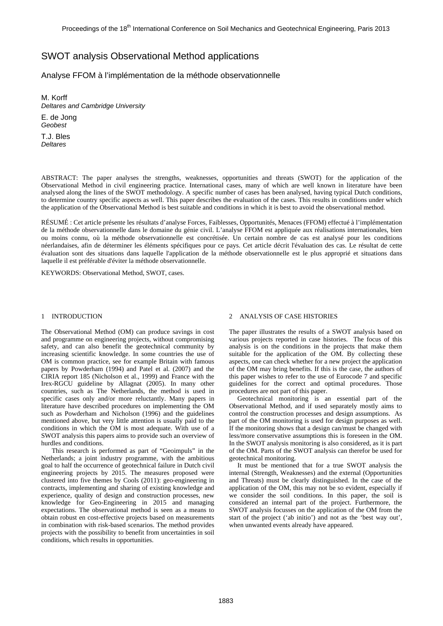# SWOT analysis Observational Method applications

Analyse FFOM à l'implémentation de la méthode observationnelle

M. Korff *Deltares and Cambridge University*  E. de Jong *Geobest*  T.J. Bles

*Deltares* 

ABSTRACT: The paper analyses the strengths, weaknesses, opportunities and threats (SWOT) for the application of the Observational Method in civil engineering practice. International cases, many of which are well known in literature have been analysed along the lines of the SWOT methodology. A specific number of cases has been analysed, having typical Dutch conditions, to determine country specific aspects as well. This paper describes the evaluation of the cases. This results in conditions under which the application of the Observational Method is best suitable and conditions in which it is best to avoid the observational method.

RÉSUMÉ : Cet article présente les résultats d'analyse Forces, Faiblesses, Opportunités, Menaces (FFOM) effectué à l'implémentation de la méthode observationnelle dans le domaine du génie civil. L'analyse FFOM est appliquée aux réalisations internationales, bien ou moins connu, où la méthode observationnelle est concrétisée. Un certain nombre de cas est analysé pour les conditions néerlandaises, afin de déterminer les éléments spécifiques pour ce pays. Cet article décrit l'évaluation des cas. Le résultat de cette évaluation sont des situations dans laquelle l'application de la méthode observationnelle est le plus approprié et situations dans laquelle il est préférable d'éviter la méthode observationnelle.

KEYWORDS: Observational Method, SWOT, cases.

#### 1 INTRODUCTION

The Observational Method (OM) can produce savings in cost and programme on engineering projects, without compromising safety, and can also benefit the geotechnical community by increasing scientific knowledge. In some countries the use of OM is common practice, see for example Britain with famous papers by Powderham (1994) and Patel et al. (2007) and the CIRIA report 185 (Nicholson et al., 1999) and France with the Irex-RGCU guideline by Allagnat (2005). In many other countries, such as The Netherlands, the method is used in specific cases only and/or more reluctantly. Many papers in literature have described procedures on implementing the OM such as Powderham and Nicholson (1996) and the guidelines mentioned above, but very little attention is usually paid to the conditions in which the OM is most adequate. With use of a SWOT analysis this papers aims to provide such an overview of hurdles and conditions.

This research is performed as part of "Geoimpuls" in the Netherlands; a joint industry programme, with the ambitious goal to half the occurrence of geotechnical failure in Dutch civil engineering projects by 2015. The measures proposed were clustered into five themes by Cools (2011): geo-engineering in contracts, implementing and sharing of existing knowledge and experience, quality of design and construction processes, new knowledge for Geo-Engineering in 2015 and managing expectations. The observational method is seen as a means to obtain robust en cost-effective projects based on measurements in combination with risk-based scenarios. The method provides projects with the possibility to benefit from uncertainties in soil conditions, which results in opportunities.

#### 2 ANALYSIS OF CASE HISTORIES

The paper illustrates the results of a SWOT analysis based on various projects reported in case histories. The focus of this analysis is on the conditions in the projects that make them suitable for the application of the OM. By collecting these aspects, one can check whether for a new project the application of the OM may bring benefits. If this is the case, the authors of this paper wishes to refer to the use of Eurocode 7 and specific guidelines for the correct and optimal procedures. Those procedures are not part of this paper.

Geotechnical monitoring is an essential part of the Observational Method, and if used separately mostly aims to control the construction processes and design assumptions. As part of the OM monitoring is used for design purposes as well. If the monitoring shows that a design can/must be changed with less/more conservative assumptions this is foreseen in the OM. In the SWOT analysis monitoring is also considered, as it is part of the OM. Parts of the SWOT analysis can therefor be used for geotechnical monitoring.

It must be mentioned that for a true SWOT analysis the internal (Strength, Weaknesses) and the external (Opportunities and Threats) must be clearly distinguished. In the case of the application of the OM, this may not be so evident, especially if we consider the soil conditions. In this paper, the soil is considered an internal part of the project. Furthermore, the SWOT analysis focusses on the application of the OM from the start of the project ('ab initio') and not as the 'best way out', when unwanted events already have appeared.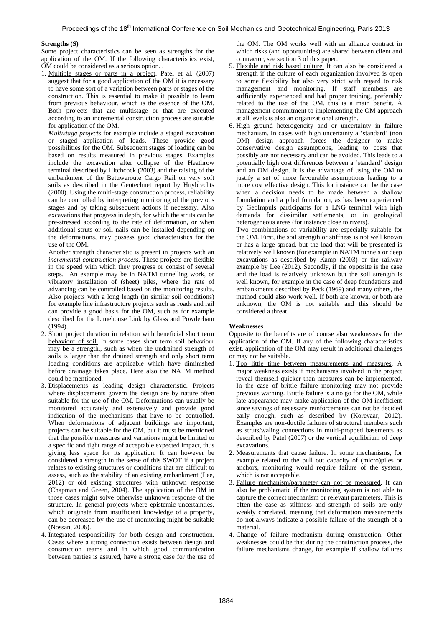## **Strengths (S)**

Some project characteristics can be seen as strengths for the application of the OM. If the following characteristics exist, OM could be considered as a serious option. .

1. Multiple stages or parts in a project. Patel et al. (2007) suggest that for a good application of the OM it is necessary to have some sort of a variation between parts or stages of the construction. This is essential to make it possible to learn from previous behaviour, which is the essence of the OM. Both projects that are multistage or that are executed according to an incremental construction process are suitable for application of the OM.

 *Multistage projects* for example include a staged excavation or staged application of loads. These provide good possibilities for the OM. Subsequent stages of loading can be based on results measured in previous stages. Examples include the excavation after collapse of the Heathrow terminal described by Hitchcock (2003) and the raising of the embankment of the Betuweroute Cargo Rail on very soft soils as described in the Geotechnet report by Huybrechts (2000). Using the multi-stage construction process, reliability can be controlled by interpreting monitoring of the previous stages and by taking subsequent actions if necessary. Also excavations that progress in depth, for which the struts can be pre-stressed according to the rate of deformation, or when additional struts or soil nails can be installed depending on the deformations, may possess good characteristics for the use of the OM.

 Another strength characteristic is present in projects with an *incremental construction process*. These projects are flexible in the speed with which they progress or consist of several steps. An example may be in NATM tunnelling work, or vibratory installation of (sheet) piles, where the rate of advancing can be controlled based on the monitoring results. Also projects with a long length (in similar soil conditions) for example line infrastructure projects such as roads and rail can provide a good basis for the OM, such as for example described for the Limehouse Link by Glass and Powderham (1994).

- 2. Short project duration in relation with beneficial short term behaviour of soil. In some cases short term soil behaviour may be a strength,, such as when the undrained strength of soils is larger than the drained strength and only short term loading conditions are applicable which have diminished before drainage takes place. Here also the NATM method could be mentioned.
- 3. Displacements as leading design characteristic. Projects where displacements govern the design are by nature often suitable for the use of the OM. Deformations can usually be monitored accurately and extensively and provide good indication of the mechanisms that have to be controlled. When deformations of adjacent buildings are important, projects can be suitable for the OM, but it must be mentioned that the possible measures and variations might be limited to a specific and tight range of acceptable expected impact, thus giving less space for its application. It can however be considered a strength in the sense of this SWOT if a project relates to existing structures or conditions that are difficult to assess, such as the stability of an existing embankment (Lee, 2012) or old existing structures with unknown response (Chapman and Green, 2004). The application of the OM in those cases might solve otherwise unknown response of the structure. In general projects where epistemic uncertainties, which originate from insufficient knowledge of a property, can be decreased by the use of monitoring might be suitable (Nossan, 2006).
- 4. Integrated responsibility for both design and construction. Cases where a strong connection exists between design and construction teams and in which good communication between parties is assured, have a strong case for the use of

the OM. The OM works well with an alliance contract in which risks (and opportunities) are shared between client and contractor, see section 3 of this paper.

- 5. Flexible and risk based culture. It can also be considered a strength if the culture of each organization involved is open to some flexibility but also very strict with regard to risk management and monitoring. If staff members are sufficiently experienced and had proper training, preferably related to the use of the OM, this is a main benefit. A management commitment to implementing the OM approach at all levels is also an organizational strength.
- 6. High ground heterogeneity and or uncertainty in failure mechanism. In cases with high uncertainty a 'standard' (non OM) design approach forces the designer to make conservative design assumptions, leading to costs that possibly are not necessary and can be avoided. This leads to a potentially high cost differences between a 'standard' design and an OM design. It is the advantage of using the OM to justify a set of more favourable assumptions leading to a more cost effective design. This for instance can be the case when a decision needs to be made between a shallow foundation and a piled foundation, as has been experienced by GeoImpuls participants for a LNG terminal with high demands for dissimilar settlements, or in geological heterogeneous areas (for instance close to rivers).

Two combinations of variability are especially suitable for the OM. First, the soil strength or stiffness is not well known or has a large spread, but the load that will be presented is relatively well known (for example in NATM tunnels or deep excavations as described by Kamp (2003) or the railway example by Lee (2012). Secondly, if the opposite is the case and the load is relatively unknown but the soil strength is well known, for example in the case of deep foundations and embankments described by Peck (1969) and many others, the method could also work well. If both are known, or both are unknown, the OM is not suitable and this should be considered a threat.

## **Weaknesses**

Opposite to the benefits are of course also weaknesses for the application of the OM. If any of the following characteristics exist, application of the OM may result in additional challenges or may not be suitable.

- 1. Too little time between measurements and measures. A major weakness exists if mechanisms involved in the project reveal themself quicker than measures can be implemented. In the case of brittle failure monitoring may not provide previous warning. Brittle failure is a no go for the OM, while late appearance may make application of the OM inefficient since savings of necessary reinforcements can not be decided early enough, such as described by (Korevaar, 2012). Examples are non-ductile failures of structural members such as struts/waling connections in multi-propped basements as described by Patel (2007) or the vertical equilibrium of deep excavations.
- 2. Measurements that cause failure. In some mechanisms, for example related to the pull out capacity of (micro)piles or anchors, monitoring would require failure of the system, which is not acceptable.
- 3. Failure mechanism/parameter can not be measured. It can also be problematic if the monitoring system is not able to capture the correct mechanism or relevant parameters. This is often the case as stiffness and strength of soils are only weakly correlated, meaning that deformation measurements do not always indicate a possible failure of the strength of a material.
- 4. Change of failure mechanism during construction. Other weaknesses could be that during the construction process, the failure mechanisms change, for example if shallow failures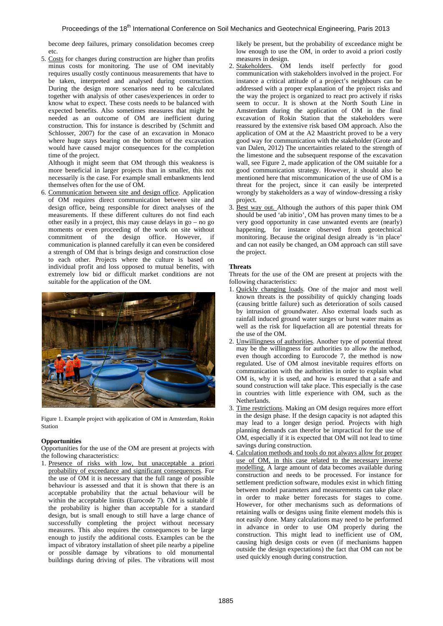become deep failures, primary consolidation becomes creep etc.

5. Costs for changes during construction are higher than profits minus costs for monitoring. The use of OM inevitably requires usually costly continuous measurements that have to be taken, interpreted and analysed during construction. During the design more scenarios need to be calculated together with analysis of other cases/experiences in order to know what to expect. These costs needs to be balanced with expected benefits. Also sometimes measures that might be needed as an outcome of OM are inefficient during construction. This for instance is described by (Schmitt and Schlosser, 2007) for the case of an excavation in Monaco where huge stays bearing on the bottom of the excavation would have caused major consequences for the completion time of the project.

Although it might seem that OM through this weakness is more beneficial in larger projects than in smaller, this not necessarily is the case. For example small embankments lend themselves often for the use of OM.

6. Communication between site and design office. Application of OM requires direct communication between site and design office, being responsible for direct analyses of the measurements. If these different cultures do not find each other easily in a project, this may cause delays in go – no go moments or even proceeding of the work on site without commitment of the design office. However, if communication is planned carefully it can even be considered a strength of OM that is brings design and construction close to each other. Projects where the culture is based on individual profit and loss opposed to mutual benefits, with extremely low bid or difficult market conditions are not suitable for the application of the OM.



Figure 1. Example project with application of OM in Amsterdam, Rokin Station

## **Opportunities**

Opportunities for the use of the OM are present at projects with the following characteristics:

1. Presence of risks with low, but unacceptable a priori probability of exceedance and significant consequences. For the use of OM it is necessary that the full range of possible behaviour is assessed and that it is shown that there is an acceptable probability that the actual behaviour will be within the acceptable limits (Eurocode 7). OM is suitable if the probability is higher than acceptable for a standard design, but is small enough to still have a large chance of successfully completing the project without necessary measures. This also requires the consequences to be large enough to justify the additional costs. Examples can be the impact of vibratory installation of sheet pile nearby a pipeline or possible damage by vibrations to old monumental buildings during driving of piles. The vibrations will most likely be present, but the probability of exceedance might be low enough to use the OM, in order to avoid a priori costly measures in design.

- 2. Stakeholders. OM lends itself perfectly for good communication with stakeholders involved in the project. For instance a critical attitude of a project's neighbours can be addressed with a proper explanation of the project risks and the way the project is organized to react pro actively if risks seem to occur. It is shown at the North South Line in Amsterdam during the application of OM in the final excavation of Rokin Station that the stakeholders were reassured by the extensive risk based OM approach. Also the application of OM at the A2 Maastricht proved to be a very good way for communication with the stakeholder (Grote and van Dalen, 2012) The uncertainties related to the strength of the limestone and the subsequent response of the excavation wall, see Figure 2, made application of the OM suitable for a good communication strategy. However, it should also be mentioned here that miscommunication of the use of OM is a threat for the project, since it can easily be interpreted wrongly by stakeholders as a way of window-dressing a risky project.
- 3. Best way out. Although the authors of this paper think OM should be used 'ab initio', OM has proven many times to be a very good opportunity in case unwanted events are (nearly) happening, for instance observed from geotechnical monitoring. Because the original design already is 'in place' and can not easily be changed, an OM approach can still save the project.

## **Threats**

Threats for the use of the OM are present at projects with the following characteristics:

- 1. Quickly changing loads. One of the major and most well known threats is the possibility of quickly changing loads (causing brittle failure) such as deterioration of soils caused by intrusion of groundwater. Also external loads such as rainfall induced ground water surges or burst water mains as well as the risk for liquefaction all are potential threats for the use of the OM.
- 2. Unwillingness of authorities. Another type of potential threat may be the willingness for authorities to allow the method, even though according to Eurocode 7, the method is now regulated. Use of OM almost inevitable requires efforts on communication with the authorities in order to explain what OM is, why it is used, and how is ensured that a safe and sound construction will take place. This especially is the case in countries with little experience with OM, such as the Netherlands.
- 3. Time restrictions. Making an OM design requires more effort in the design phase. If the design capacity is not adapted this may lead to a longer design period. Projects with high planning demands can therefor be impractical for the use of OM, especially if it is expected that OM will not lead to time savings during construction.
- 4. Calculation methods and tools do not always allow for proper use of OM, in this case related to the necessary inverse modelling. A large amount of data becomes available during construction and needs to be processed. For instance for settlement prediction software, modules exist in which fitting between model parameters and measurements can take place in order to make better forecasts for stages to come. However, for other mechanisms such as deformations of retaining walls or designs using finite element models this is not easily done. Many calculations may need to be performed in advance in order to use OM properly during the construction. This might lead to inefficient use of OM, causing high design costs or even (if mechanisms happen outside the design expectations) the fact that OM can not be used quickly enough during construction.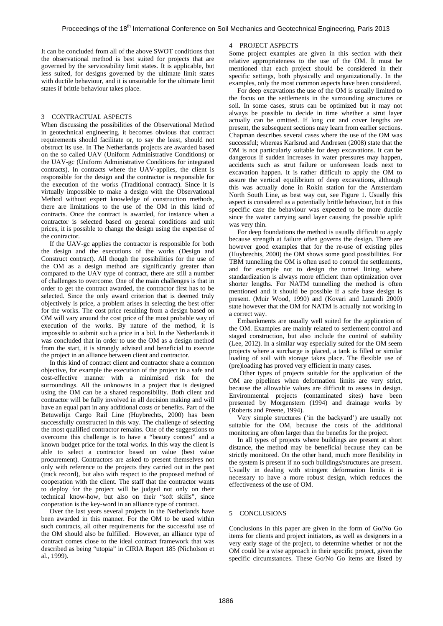It can be concluded from all of the above SWOT conditions that the observational method is best suited for projects that are governed by the serviceability limit states. It is applicable, but less suited, for designs governed by the ultimate limit states with ductile behaviour, and it is unsuitable for the ultimate limit states if brittle behaviour takes place.

## 3 CONTRACTUAL ASPECTS

When discussing the possibilities of the Observational Method in geotechnical engineering, it becomes obvious that contract requirements should facilitate or, to say the least, should not obstruct its use. In The Netherlands projects are awarded based on the so called UAV (Uniform Administrative Conditions) or the UAV-gc (Uniform Administrative Conditions for integrated contracts). In contracts where the UAV-applies, the client is responsible for the design and the contractor is responsible for the execution of the works (Traditional contract). Since it is virtually impossible to make a design with the Observational Method without expert knowledge of construction methods, there are limitations to the use of the OM in this kind of contracts. Once the contract is awarded, for instance when a contractor is selected based on general conditions and unit prices, it is possible to change the design using the expertise of the contractor.

If the UAV-gc applies the contractor is responsible for both the design and the executions of the works (Design and Construct contract). All though the possibilities for the use of the OM as a design method are significantly greater than compared to the UAV type of contract, there are still a number of challenges to overcome. One of the main challenges is that in order to get the contract awarded, the contractor first has to be selected. Since the only award criterion that is deemed truly objectively is price, a problem arises in selecting the best offer for the works. The cost price resulting from a design based on OM will vary around the cost price of the most probable way of execution of the works. By nature of the method, it is impossible to submit such a price in a bid. In the Netherlands it was concluded that in order to use the OM as a design method from the start, it is strongly advised and beneficial to execute the project in an alliance between client and contractor.

In this kind of contract client and contractor share a common objective, for example the execution of the project in a safe and cost-effective manner with a minimised risk for the surroundings. All the unknowns in a project that is designed using the OM can be a shared responsibility. Both client and contractor will be fully involved in all decision making and will have an equal part in any additional costs or benefits. Part of the Betuwelijn Cargo Rail Line (Huybrechts, 2000) has been successfully constructed in this way. The challenge of selecting the most qualified contractor remains. One of the suggestions to overcome this challenge is to have a "beauty contest" and a known budget price for the total works. In this way the client is able to select a contractor based on value (best value procurement). Contractors are asked to present themselves not only with reference to the projects they carried out in the past (track record), but also with respect to the proposed method of cooperation with the client. The staff that the contractor wants to deploy for the project will be judged not only on their technical know-how, but also on their "soft skills", since cooperation is the key-word in an alliance type of contract.

Over the last years several projects in the Netherlands have been awarded in this manner. For the OM to be used within such contracts, all other requirements for the successful use of the OM should also be fulfilled. However, an alliance type of contract comes close to the ideal contract framework that was described as being "utopia" in CIRIA Report 185 (Nicholson et al., 1999).

## 4 PROJECT ASPECTS

Some project examples are given in this section with their relative appropriateness to the use of the OM. It must be mentioned that each project should be considered in their specific settings, both physically and organizationally. In the examples, only the most common aspects have been considered.

For deep excavations the use of the OM is usually limited to the focus on the settlements in the surrounding structures or soil. In some cases, struts can be optimized but it may not always be possible to decide in time whether a strut layer actually can be omitted. If long cut and cover lengths are present, the subsequent sections may learn from earlier sections. Chapman describes several cases where the use of the OM was successful; whereas Karlsrud and Andresen (2008) state that the OM is not particularly suitable for deep excavations. It can be dangerous if sudden increases in water pressures may happen, accidents such as strut failure or unforeseen loads next to excavation happen. It is rather difficult to apply the OM to assure the vertical equilibrium of deep excavations, although this was actually done in Rokin station for the Amsterdam North South Line, as best way out, see Figure 1. Usually this aspect is considered as a potentially brittle behaviour, but in this specific case the behaviour was expected to be more ductile since the water carrying sand layer causing the possible uplift was very thin.

For deep foundations the method is usually difficult to apply because strength at failure often governs the design. There are however good examples that for the re-use of existing piles (Huybrechts, 2000) the OM shows some good possibilities. For TBM tunnelling the OM is often used to control the settlements, and for example not to design the tunnel lining, where standardization is always more efficient than optimization over shorter lengths. For NATM tunnelling the method is often mentioned and it should be possible if a safe base design is present. (Muir Wood, 1990) and (Kovari and Lunardi 2000) state however that the OM for NATM is actually not working in a correct way.

Embankments are usually well suited for the application of the OM. Examples are mainly related to settlement control and staged construction, but also include the control of stability (Lee, 2012). In a similar way especially suited for the OM seem projects where a surcharge is placed, a tank is filled or similar loading of soil with storage takes place. The flexible use of (pre)loading has proved very efficient in many cases.

 Other types of projects suitable for the application of the OM are pipelines when deformation limits are very strict, because the allowable values are difficult to assess in design. Environmental projects (contaminated sites) have been presented by Morgenstern (1994) and drainage works by (Roberts and Preene, 1994).

Very simple structures ('in the backyard') are usually not suitable for the OM, because the costs of the additional monitoring are often larger than the benefits for the project.

In all types of projects where buildings are present at short distance, the method may be beneficial because they can be strictly monitored. On the other hand, much more flexibility in the system is present if no such buildings/structures are present. Usually in dealing with stringent deformation limits it is necessary to have a more robust design, which reduces the effectiveness of the use of OM.

#### 5 CONCLUSIONS

Conclusions in this paper are given in the form of Go/No Go items for clients and project initiators, as well as designers in a very early stage of the project, to determine whether or not the OM could be a wise approach in their specific project, given the specific circumstances. These Go/No Go items are listed by